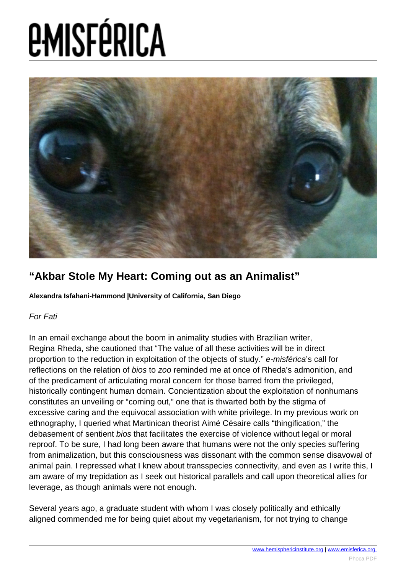

### **"Akbar Stole My Heart: Coming out as an Animalist"**

**Alexandra Isfahani-Hammond |University of California, San Diego**

### For Fati

In an email exchange about the boom in animality studies with Brazilian writer, Regina Rheda, she cautioned that "The value of all these activities will be in direct proportion to the reduction in exploitation of the objects of study." e-misférica's call for reflections on the relation of bios to zoo reminded me at once of Rheda's admonition, and of the predicament of articulating moral concern for those barred from the privileged, historically contingent human domain. Concientization about the exploitation of nonhumans constitutes an unveiling or "coming out," one that is thwarted both by the stigma of excessive caring and the equivocal association with white privilege. In my previous work on ethnography, I queried what Martinican theorist Aimé Césaire calls "thingification," the debasement of sentient bios that facilitates the exercise of violence without legal or moral reproof. To be sure, I had long been aware that humans were not the only species suffering from animalization, but this consciousness was dissonant with the common sense disavowal of animal pain. I repressed what I knew about transspecies connectivity, and even as I write this, I am aware of my trepidation as I seek out historical parallels and call upon theoretical allies for leverage, as though animals were not enough.

Several years ago, a graduate student with whom I was closely politically and ethically aligned commended me for being quiet about my vegetarianism, for not trying to change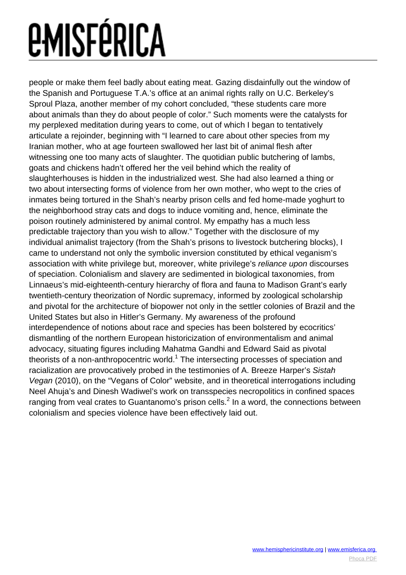people or make them feel badly about eating meat. Gazing disdainfully out the window of the Spanish and Portuguese T.A.'s office at an animal rights rally on U.C. Berkeley's Sproul Plaza, another member of my cohort concluded, "these students care more about animals than they do about people of color." Such moments were the catalysts for my perplexed meditation during years to come, out of which I began to tentatively articulate a rejoinder, beginning with "I learned to care about other species from my Iranian mother, who at age fourteen swallowed her last bit of animal flesh after witnessing one too many acts of slaughter. The quotidian public butchering of lambs, goats and chickens hadn't offered her the veil behind which the reality of slaughterhouses is hidden in the industrialized west. She had also learned a thing or two about intersecting forms of violence from her own mother, who wept to the cries of inmates being tortured in the Shah's nearby prison cells and fed home-made yoghurt to the neighborhood stray cats and dogs to induce vomiting and, hence, eliminate the poison routinely administered by animal control. My empathy has a much less predictable trajectory than you wish to allow." Together with the disclosure of my individual animalist trajectory (from the Shah's prisons to livestock butchering blocks), I came to understand not only the symbolic inversion constituted by ethical veganism's association with white privilege but, moreover, white privilege's reliance upon discourses of speciation. Colonialism and slavery are sedimented in biological taxonomies, from Linnaeus's mid-eighteenth-century hierarchy of flora and fauna to Madison Grant's early twentieth-century theorization of Nordic supremacy, informed by zoological scholarship and pivotal for the architecture of biopower not only in the settler colonies of Brazil and the United States but also in Hitler's Germany. My awareness of the profound interdependence of notions about race and species has been bolstered by ecocritics' dismantling of the northern European historicization of environmentalism and animal advocacy, situating figures including Mahatma Gandhi and Edward Said as pivotal theorists of a non-anthropocentric world.<sup>1</sup> The intersecting processes of speciation and racialization are provocatively probed in the testimonies of A. Breeze Harper's Sistah Vegan (2010), on the "Vegans of Color" website, and in theoretical interrogations including Neel Ahuja's and Dinesh Wadiwel's work on transspecies necropolitics in confined spaces ranging from veal crates to Guantanomo's prison cells.<sup>2</sup> In a word, the connections between colonialism and species violence have been effectively laid out.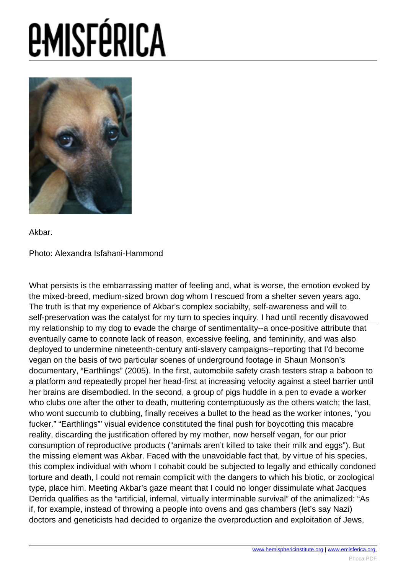# *<u>EMISFÉRICA</u>*



Akbar.

### Photo: Alexandra Isfahani-Hammond

What persists is the embarrassing matter of feeling and, what is worse, the emotion evoked by the mixed-breed, medium-sized brown dog whom I rescued from a shelter seven years ago. The truth is that my experience of Akbar's complex sociabilty, self-awareness and will to self-preservation was the catalyst for my turn to species inquiry. I had until recently disavowed my relationship to my dog to evade the charge of sentimentali[ty--a once-positive a](http://www.hemisphericinsitute.org/)t[tribute that](http://www.emisferica.org/) eventually came to connote lack of reason, excessive feeling, and femininity, and was al[so](http://www.phoca.cz/phocapdf) deployed to undermine nineteenth-century anti-slavery campaigns--reporting that I'd become vegan on the basis of two particular scenes of underground footage in Shaun Monson's documentary, "Earthlings" (2005). In the first, automobile safety crash testers strap a baboon to a platform and repeatedly propel her head-first at increasing velocity against a steel barrier until her brains are disembodied. In the second, a group of pigs huddle in a pen to evade a worker who clubs one after the other to death, muttering contemptuously as the others watch; the last, who wont succumb to clubbing, finally receives a bullet to the head as the worker intones, "you fucker." "Earthlings"' visual evidence constituted the final push for boycotting this macabre reality, discarding the justification offered by my mother, now herself vegan, for our prior consumption of reproductive products ("animals aren't killed to take their milk and eggs"). But the missing element was Akbar. Faced with the unavoidable fact that, by virtue of his species, this complex individual with whom I cohabit could be subjected to legally and ethically condoned torture and death, I could not remain complicit with the dangers to which his biotic, or zoological type, place him. Meeting Akbar's gaze meant that I could no longer dissimulate what Jacques Derrida qualifies as the "artificial, infernal, virtually interminable survival" of the animalized: "As if, for example, instead of throwing a people into ovens and gas chambers (let's say Nazi) doctors and geneticists had decided to organize the overproduction and exploitation of Jews,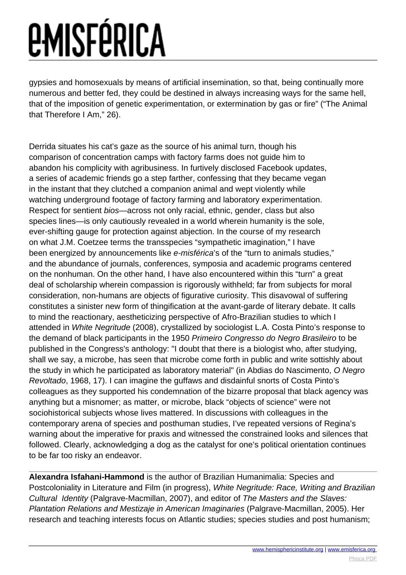gypsies and homosexuals by means of artificial insemination, so that, being continually more numerous and better fed, they could be destined in always increasing ways for the same hell, that of the imposition of genetic experimentation, or extermination by gas or fire" ("The Animal that Therefore I Am," 26).

Derrida situates his cat's gaze as the source of his animal turn, though his comparison of concentration camps with factory farms does not guide him to abandon his complicity with agribusiness. In furtively disclosed Facebook updates, a series of academic friends go a step farther, confessing that they became vegan in the instant that they clutched a companion animal and wept violently while watching underground footage of factory farming and laboratory experimentation. Respect for sentient bios—across not only racial, ethnic, gender, class but also species lines—is only cautiously revealed in a world wherein humanity is the sole, ever-shifting gauge for protection against abjection. In the course of my research on what J.M. Coetzee terms the transspecies "sympathetic imagination," I have been energized by announcements like e-misférica's of the "turn to animals studies," and the abundance of journals, conferences, symposia and academic programs centered on the nonhuman. On the other hand, I have also encountered within this "turn" a great deal of scholarship wherein compassion is rigorously withheld; far from subjects for moral consideration, non-humans are objects of figurative curiosity. This disavowal of suffering constitutes a sinister new form of thingification at the avant-garde of literary debate. It calls to mind the reactionary, aestheticizing perspective of Afro-Brazilian studies to which I attended in White Negritude (2008), crystallized by sociologist L.A. Costa Pinto's response to the demand of black participants in the 1950 Primeiro Congresso do Negro Brasileiro to be published in the Congress's anthology: "I doubt that there is a biologist who, after studying, shall we say, a microbe, has seen that microbe come forth in public and write sottishly about the study in which he participated as laboratory material" (in Abdias do Nascimento, O Negro Revoltado, 1968, 17). I can imagine the guffaws and disdainful snorts of Costa Pinto's colleagues as they supported his condemnation of the bizarre proposal that black agency was anything but a misnomer; as matter, or microbe, black "objects of science" were not sociohistorical subjects whose lives mattered. In discussions with colleagues in the contemporary arena of species and posthuman studies, I've repeated versions of Regina's warning about the imperative for praxis and witnessed the constrained looks and silences that followed. Clearly, acknowledging a dog as the catalyst for one's political orientation continues to be far too risky an endeavor.

**Alexandra Isfahani-Hammond** is the author of Brazilian Humanimalia: Species and Postcoloniality in Literature and Film (in progress), White Negritude: Race, Writing and Brazilian Cultural Identity (Palgrave-Macmillan, 2007), and editor of The Masters and the Slaves: Plantation Relations and Mestizaje in American Imaginaries (Palgrave-Macmillan, 2005). Her research and teaching interests focus on Atlantic studies; species studies and post humanism;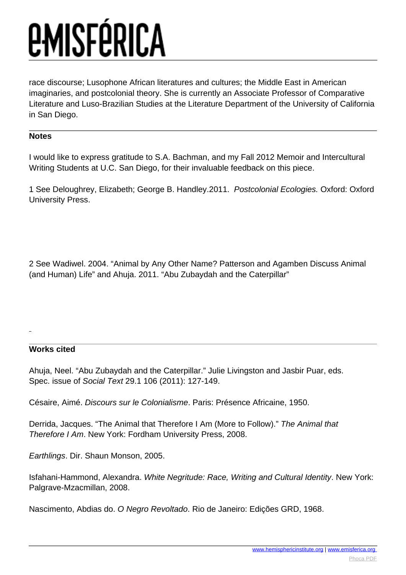race discourse; Lusophone African literatures and cultures; the Middle East in American imaginaries, and postcolonial theory. She is currently an Associate Professor of Comparative Literature and Luso-Brazilian Studies at the Literature Department of the University of California in San Diego.

### **Notes**

I would like to express gratitude to S.A. Bachman, and my Fall 2012 Memoir and Intercultural Writing Students at U.C. San Diego, for their invaluable feedback on this piece.

1 See Deloughrey, Elizabeth; George B. Handley.2011. Postcolonial Ecologies. Oxford: Oxford University Press.

2 See Wadiwel. 2004. "Animal by Any Other Name? Patterson and Agamben Discuss Animal (and Human) Life" and Ahuja. 2011. "Abu Zubaydah and the Caterpillar"

### **Works cited**

Ahuja, Neel. "Abu Zubaydah and the Caterpillar." Julie Livingston and Jasbir Puar, eds. Spec. issue of Social Text 29.1 106 (2011): 127-149.

Césaire, Aimé. Discours sur le Colonialisme. Paris: Présence Africaine, 1950.

Derrida, Jacques. "The Animal that Therefore I Am (More to Follow)." The Animal that Therefore I Am. New York: Fordham University Press, 2008.

Earthlings. Dir. Shaun Monson, 2005.

Isfahani-Hammond, Alexandra. White Negritude: Race, Writing and Cultural Identity. New York: Palgrave-Mzacmillan, 2008.

Nascimento, Abdias do. O Negro Revoltado. Rio de Janeiro: Edições GRD, 1968.